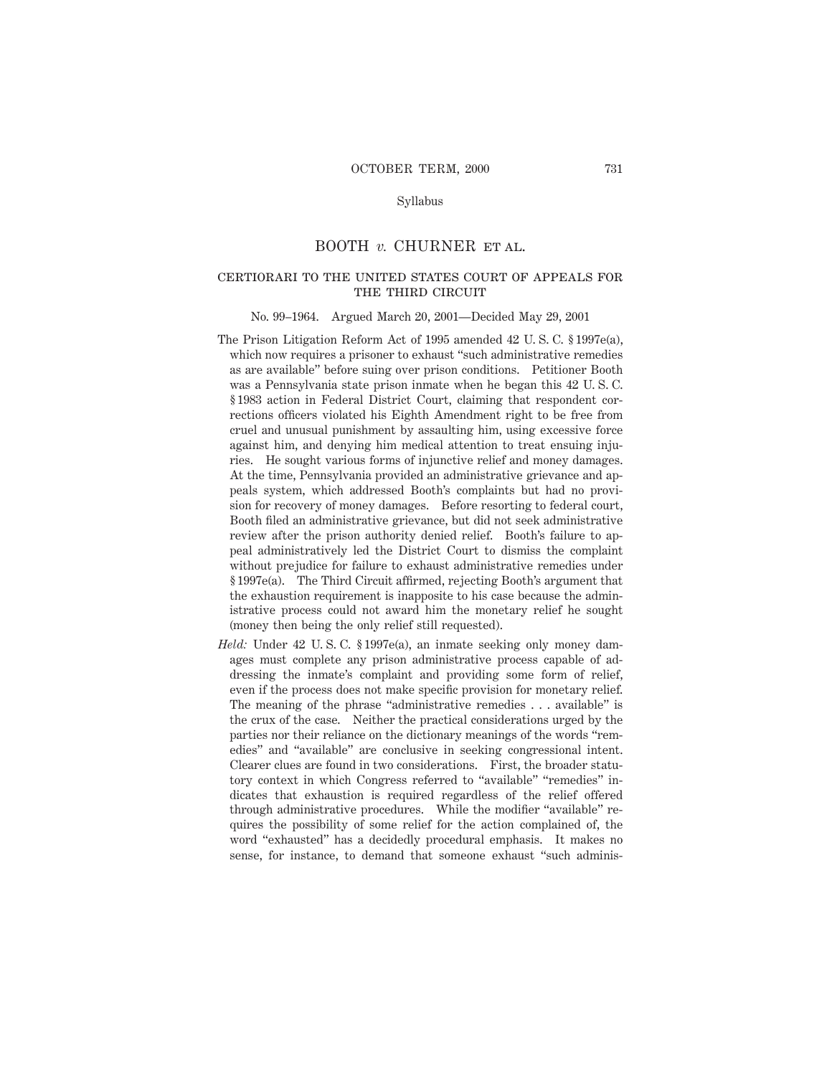# Syllabus

# BOOTH *v.* CHURNER ET AL.

# certiorari to the united states court of appeals for THE THIRD CIRCUIT

#### No. 99–1964. Argued March 20, 2001—Decided May 29, 2001

- The Prison Litigation Reform Act of 1995 amended 42 U. S. C. § 1997e(a), which now requires a prisoner to exhaust "such administrative remedies as are available" before suing over prison conditions. Petitioner Booth was a Pennsylvania state prison inmate when he began this 42 U. S. C. § 1983 action in Federal District Court, claiming that respondent corrections officers violated his Eighth Amendment right to be free from cruel and unusual punishment by assaulting him, using excessive force against him, and denying him medical attention to treat ensuing injuries. He sought various forms of injunctive relief and money damages. At the time, Pennsylvania provided an administrative grievance and appeals system, which addressed Booth's complaints but had no provision for recovery of money damages. Before resorting to federal court, Booth filed an administrative grievance, but did not seek administrative review after the prison authority denied relief. Booth's failure to appeal administratively led the District Court to dismiss the complaint without prejudice for failure to exhaust administrative remedies under § 1997e(a). The Third Circuit affirmed, rejecting Booth's argument that the exhaustion requirement is inapposite to his case because the administrative process could not award him the monetary relief he sought (money then being the only relief still requested).
- *Held:* Under 42 U. S. C. § 1997e(a), an inmate seeking only money damages must complete any prison administrative process capable of addressing the inmate's complaint and providing some form of relief, even if the process does not make specific provision for monetary relief. The meaning of the phrase "administrative remedies . . . available" is the crux of the case. Neither the practical considerations urged by the parties nor their reliance on the dictionary meanings of the words "remedies" and "available" are conclusive in seeking congressional intent. Clearer clues are found in two considerations. First, the broader statutory context in which Congress referred to "available" "remedies" indicates that exhaustion is required regardless of the relief offered through administrative procedures. While the modifier "available" requires the possibility of some relief for the action complained of, the word "exhausted" has a decidedly procedural emphasis. It makes no sense, for instance, to demand that someone exhaust "such adminis-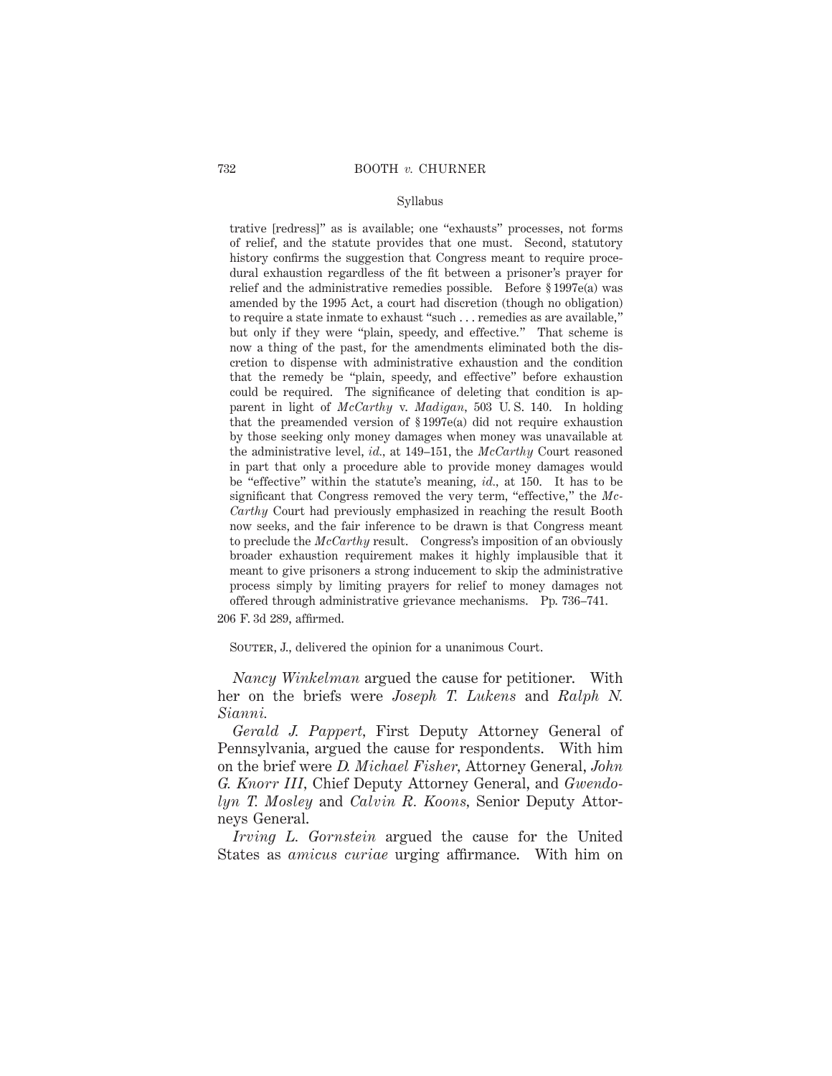## Syllabus

trative [redress]" as is available; one "exhausts" processes, not forms of relief, and the statute provides that one must. Second, statutory history confirms the suggestion that Congress meant to require procedural exhaustion regardless of the fit between a prisoner's prayer for relief and the administrative remedies possible. Before § 1997e(a) was amended by the 1995 Act, a court had discretion (though no obligation) to require a state inmate to exhaust "such . . . remedies as are available," but only if they were "plain, speedy, and effective." That scheme is now a thing of the past, for the amendments eliminated both the discretion to dispense with administrative exhaustion and the condition that the remedy be "plain, speedy, and effective" before exhaustion could be required. The significance of deleting that condition is apparent in light of *McCarthy* v. *Madigan,* 503 U. S. 140. In holding that the preamended version of § 1997e(a) did not require exhaustion by those seeking only money damages when money was unavailable at the administrative level, *id.,* at 149–151, the *McCarthy* Court reasoned in part that only a procedure able to provide money damages would be "effective" within the statute's meaning, *id.,* at 150. It has to be significant that Congress removed the very term, "effective," the *Mc-Carthy* Court had previously emphasized in reaching the result Booth now seeks, and the fair inference to be drawn is that Congress meant to preclude the *McCarthy* result. Congress's imposition of an obviously broader exhaustion requirement makes it highly implausible that it meant to give prisoners a strong inducement to skip the administrative process simply by limiting prayers for relief to money damages not offered through administrative grievance mechanisms. Pp. 736–741. 206 F. 3d 289, affirmed.

SOUTER, J., delivered the opinion for a unanimous Court.

*Nancy Winkelman* argued the cause for petitioner. With her on the briefs were *Joseph T. Lukens* and *Ralph N. Sianni.*

*Gerald J. Pappert,* First Deputy Attorney General of Pennsylvania, argued the cause for respondents. With him on the brief were *D. Michael Fisher,* Attorney General, *John G. Knorr III,* Chief Deputy Attorney General, and *Gwendolyn T. Mosley* and *Calvin R. Koons,* Senior Deputy Attorneys General.

*Irving L. Gornstein* argued the cause for the United States as *amicus curiae* urging affirmance. With him on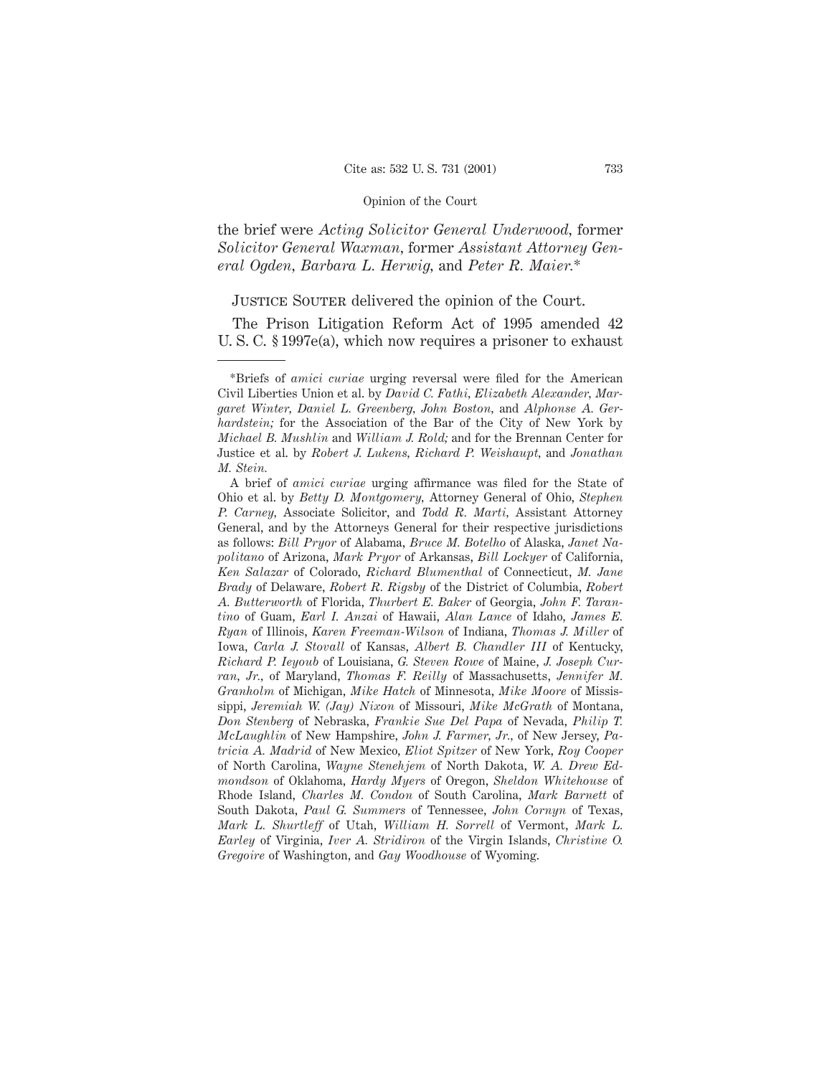the brief were *Acting Solicitor General Underwood,* former *Solicitor General Waxman,* former *Assistant Attorney General Ogden, Barbara L. Herwig,* and *Peter R. Maier.*\*

# JUSTICE SOUTER delivered the opinion of the Court.

The Prison Litigation Reform Act of 1995 amended 42 U. S. C. § 1997e(a), which now requires a prisoner to exhaust

<sup>\*</sup>Briefs of *amici curiae* urging reversal were filed for the American Civil Liberties Union et al. by *David C. Fathi, Elizabeth Alexander, Margaret Winter, Daniel L. Greenberg, John Boston,* and *Alphonse A. Gerhardstein;* for the Association of the Bar of the City of New York by *Michael B. Mushlin* and *William J. Rold;* and for the Brennan Center for Justice et al. by *Robert J. Lukens, Richard P. Weishaupt,* and *Jonathan M. Stein.*

A brief of *amici curiae* urging affirmance was filed for the State of Ohio et al. by *Betty D. Montgomery,* Attorney General of Ohio, *Stephen P. Carney,* Associate Solicitor, and *Todd R. Marti,* Assistant Attorney General, and by the Attorneys General for their respective jurisdictions as follows: *Bill Pryor* of Alabama, *Bruce M. Botelho* of Alaska, *Janet Napolitano* of Arizona, *Mark Pryor* of Arkansas, *Bill Lockyer* of California, *Ken Salazar* of Colorado, *Richard Blumenthal* of Connecticut, *M. Jane Brady* of Delaware, *Robert R. Rigsby* of the District of Columbia, *Robert A. Butterworth* of Florida, *Thurbert E. Baker* of Georgia, *John F. Tarantino* of Guam, *Earl I. Anzai* of Hawaii, *Alan Lance* of Idaho, *James E. Ryan* of Illinois, *Karen Freeman-Wilson* of Indiana, *Thomas J. Miller* of Iowa, *Carla J. Stovall* of Kansas, *Albert B. Chandler III* of Kentucky, *Richard P. Ieyoub* of Louisiana, *G. Steven Rowe* of Maine, *J. Joseph Curran, Jr.,* of Maryland, *Thomas F. Reilly* of Massachusetts, *Jennifer M. Granholm* of Michigan, *Mike Hatch* of Minnesota, *Mike Moore* of Mississippi, *Jeremiah W. (Jay) Nixon* of Missouri, *Mike McGrath* of Montana, *Don Stenberg* of Nebraska, *Frankie Sue Del Papa* of Nevada, *Philip T. McLaughlin* of New Hampshire, *John J. Farmer, Jr.,* of New Jersey, *Patricia A. Madrid* of New Mexico, *Eliot Spitzer* of New York, *Roy Cooper* of North Carolina, *Wayne Stenehjem* of North Dakota, *W. A. Drew Edmondson* of Oklahoma, *Hardy Myers* of Oregon, *Sheldon Whitehouse* of Rhode Island, *Charles M. Condon* of South Carolina, *Mark Barnett* of South Dakota, *Paul G. Summers* of Tennessee, *John Cornyn* of Texas, *Mark L. Shurtleff* of Utah, *William H. Sorrell* of Vermont, *Mark L. Earley* of Virginia, *Iver A. Stridiron* of the Virgin Islands, *Christine O. Gregoire* of Washington, and *Gay Woodhouse* of Wyoming.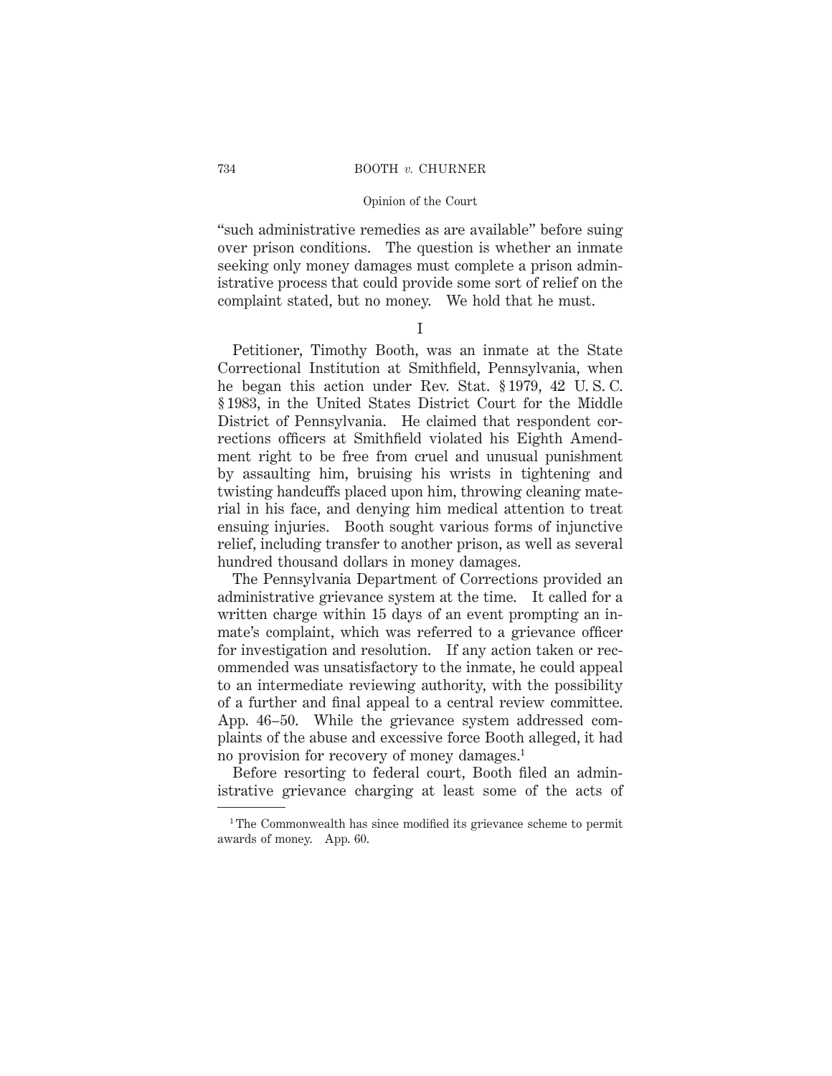"such administrative remedies as are available" before suing over prison conditions. The question is whether an inmate seeking only money damages must complete a prison administrative process that could provide some sort of relief on the complaint stated, but no money. We hold that he must.

I

Petitioner, Timothy Booth, was an inmate at the State Correctional Institution at Smithfield, Pennsylvania, when he began this action under Rev. Stat. § 1979, 42 U. S. C. § 1983, in the United States District Court for the Middle District of Pennsylvania. He claimed that respondent corrections officers at Smithfield violated his Eighth Amendment right to be free from cruel and unusual punishment by assaulting him, bruising his wrists in tightening and twisting handcuffs placed upon him, throwing cleaning material in his face, and denying him medical attention to treat ensuing injuries. Booth sought various forms of injunctive relief, including transfer to another prison, as well as several hundred thousand dollars in money damages.

The Pennsylvania Department of Corrections provided an administrative grievance system at the time. It called for a written charge within 15 days of an event prompting an inmate's complaint, which was referred to a grievance officer for investigation and resolution. If any action taken or recommended was unsatisfactory to the inmate, he could appeal to an intermediate reviewing authority, with the possibility of a further and final appeal to a central review committee. App. 46–50. While the grievance system addressed complaints of the abuse and excessive force Booth alleged, it had no provision for recovery of money damages.1

Before resorting to federal court, Booth filed an administrative grievance charging at least some of the acts of

<sup>&</sup>lt;sup>1</sup>The Commonwealth has since modified its grievance scheme to permit awards of money. App. 60.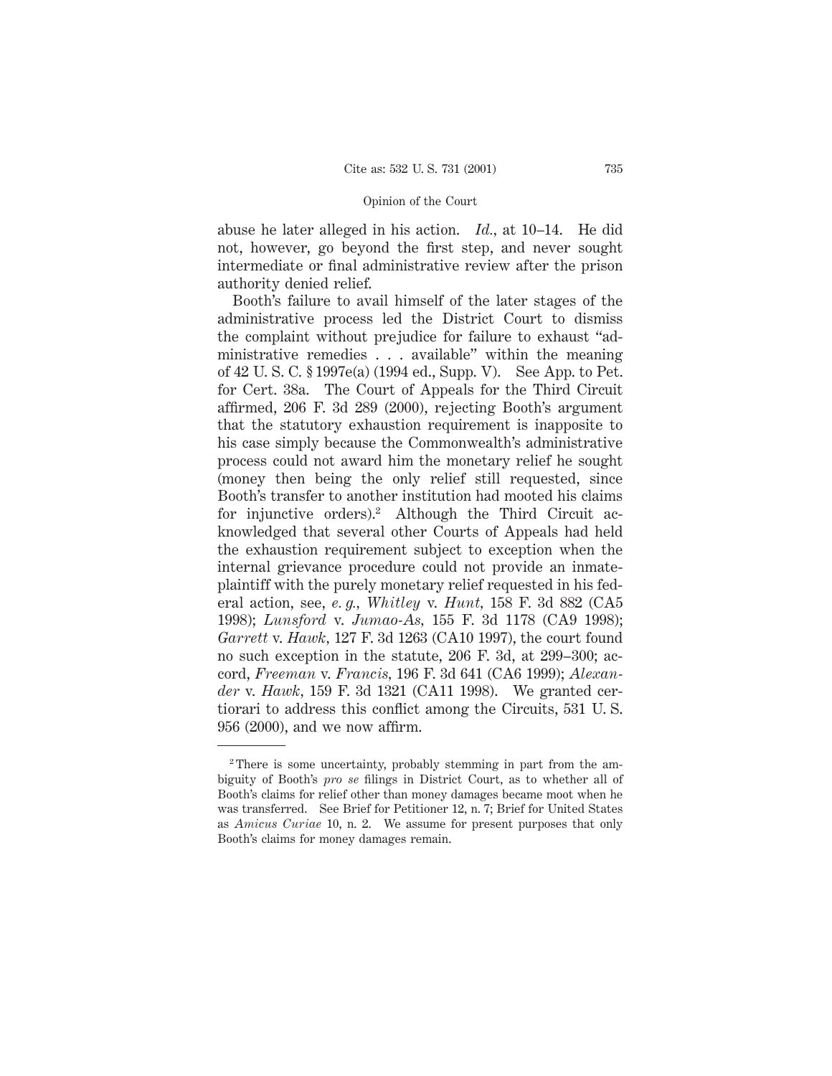abuse he later alleged in his action. *Id.,* at 10–14. He did not, however, go beyond the first step, and never sought intermediate or final administrative review after the prison authority denied relief.

Booth's failure to avail himself of the later stages of the administrative process led the District Court to dismiss the complaint without prejudice for failure to exhaust "administrative remedies . . . available" within the meaning of 42 U. S. C. § 1997e(a) (1994 ed., Supp. V). See App. to Pet. for Cert. 38a. The Court of Appeals for the Third Circuit affirmed, 206 F. 3d 289 (2000), rejecting Booth's argument that the statutory exhaustion requirement is inapposite to his case simply because the Commonwealth's administrative process could not award him the monetary relief he sought (money then being the only relief still requested, since Booth's transfer to another institution had mooted his claims for injunctive orders).<sup>2</sup> Although the Third Circuit acknowledged that several other Courts of Appeals had held the exhaustion requirement subject to exception when the internal grievance procedure could not provide an inmateplaintiff with the purely monetary relief requested in his federal action, see, *e. g., Whitley* v. *Hunt,* 158 F. 3d 882 (CA5 1998); *Lunsford* v. *Jumao-As,* 155 F. 3d 1178 (CA9 1998); *Garrett* v. *Hawk,* 127 F. 3d 1263 (CA10 1997), the court found no such exception in the statute, 206 F. 3d, at 299–300; accord, *Freeman* v. *Francis,* 196 F. 3d 641 (CA6 1999); *Alexander* v. *Hawk,* 159 F. 3d 1321 (CA11 1998). We granted certiorari to address this conflict among the Circuits, 531 U. S. 956 (2000), and we now affirm.

<sup>2</sup> There is some uncertainty, probably stemming in part from the ambiguity of Booth's *pro se* filings in District Court, as to whether all of Booth's claims for relief other than money damages became moot when he was transferred. See Brief for Petitioner 12, n. 7; Brief for United States as *Amicus Curiae* 10, n. 2. We assume for present purposes that only Booth's claims for money damages remain.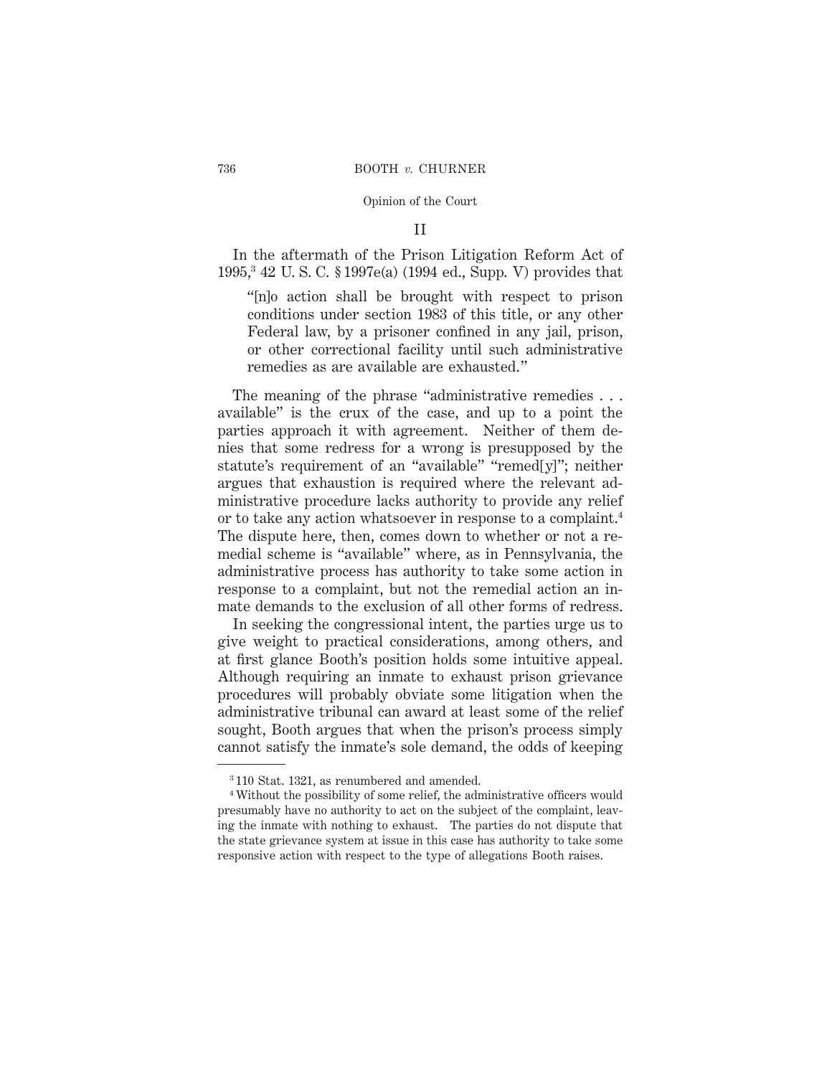# II

In the aftermath of the Prison Litigation Reform Act of 1995,3 42 U. S. C. § 1997e(a) (1994 ed., Supp. V) provides that

"[n]o action shall be brought with respect to prison conditions under section 1983 of this title, or any other Federal law, by a prisoner confined in any jail, prison, or other correctional facility until such administrative remedies as are available are exhausted."

The meaning of the phrase "administrative remedies . . . available" is the crux of the case, and up to a point the parties approach it with agreement. Neither of them denies that some redress for a wrong is presupposed by the statute's requirement of an "available" "remed[y]"; neither argues that exhaustion is required where the relevant administrative procedure lacks authority to provide any relief or to take any action whatsoever in response to a complaint.4 The dispute here, then, comes down to whether or not a remedial scheme is "available" where, as in Pennsylvania, the administrative process has authority to take some action in response to a complaint, but not the remedial action an inmate demands to the exclusion of all other forms of redress.

In seeking the congressional intent, the parties urge us to give weight to practical considerations, among others, and at first glance Booth's position holds some intuitive appeal. Although requiring an inmate to exhaust prison grievance procedures will probably obviate some litigation when the administrative tribunal can award at least some of the relief sought, Booth argues that when the prison's process simply cannot satisfy the inmate's sole demand, the odds of keeping

<sup>3</sup> 110 Stat. 1321, as renumbered and amended.

<sup>4</sup> Without the possibility of some relief, the administrative officers would presumably have no authority to act on the subject of the complaint, leaving the inmate with nothing to exhaust. The parties do not dispute that the state grievance system at issue in this case has authority to take some responsive action with respect to the type of allegations Booth raises.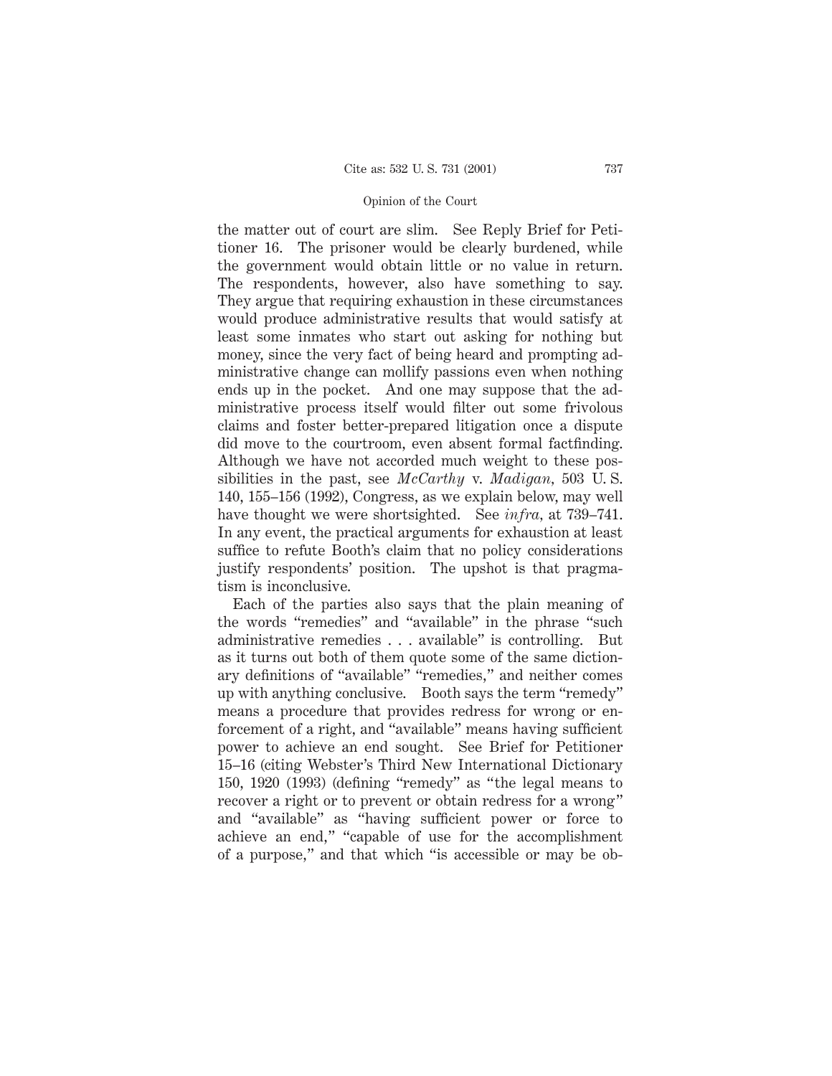the matter out of court are slim. See Reply Brief for Petitioner 16. The prisoner would be clearly burdened, while the government would obtain little or no value in return. The respondents, however, also have something to say. They argue that requiring exhaustion in these circumstances would produce administrative results that would satisfy at least some inmates who start out asking for nothing but money, since the very fact of being heard and prompting administrative change can mollify passions even when nothing ends up in the pocket. And one may suppose that the administrative process itself would filter out some frivolous claims and foster better-prepared litigation once a dispute did move to the courtroom, even absent formal factfinding. Although we have not accorded much weight to these possibilities in the past, see *McCarthy* v. *Madigan,* 503 U. S. 140, 155–156 (1992), Congress, as we explain below, may well have thought we were shortsighted. See *infra,* at 739–741. In any event, the practical arguments for exhaustion at least suffice to refute Booth's claim that no policy considerations justify respondents' position. The upshot is that pragmatism is inconclusive.

Each of the parties also says that the plain meaning of the words "remedies" and "available" in the phrase "such administrative remedies . . . available" is controlling. But as it turns out both of them quote some of the same dictionary definitions of "available" "remedies," and neither comes up with anything conclusive. Booth says the term "remedy" means a procedure that provides redress for wrong or enforcement of a right, and "available" means having sufficient power to achieve an end sought. See Brief for Petitioner 15–16 (citing Webster's Third New International Dictionary 150, 1920 (1993) (defining "remedy" as "the legal means to recover a right or to prevent or obtain redress for a wrong" and "available" as "having sufficient power or force to achieve an end," "capable of use for the accomplishment of a purpose," and that which "is accessible or may be ob-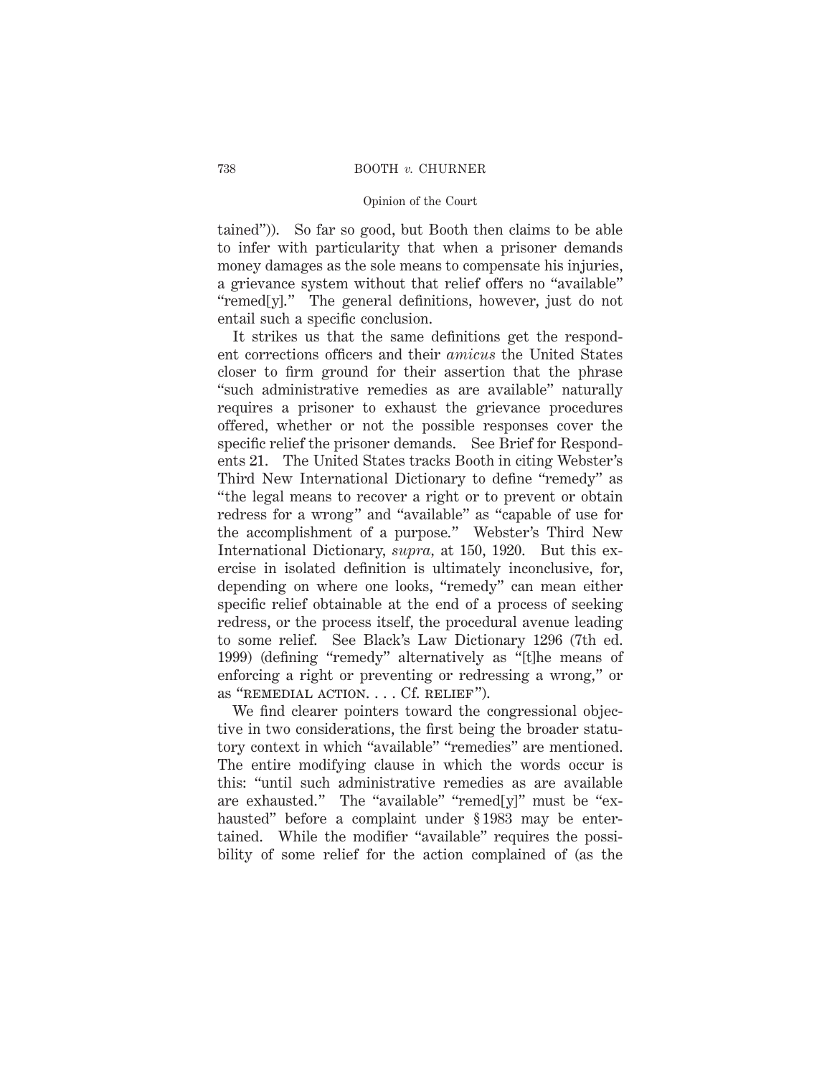tained")). So far so good, but Booth then claims to be able to infer with particularity that when a prisoner demands money damages as the sole means to compensate his injuries, a grievance system without that relief offers no "available" "remed[y]." The general definitions, however, just do not entail such a specific conclusion.

It strikes us that the same definitions get the respondent corrections officers and their *amicus* the United States closer to firm ground for their assertion that the phrase "such administrative remedies as are available" naturally requires a prisoner to exhaust the grievance procedures offered, whether or not the possible responses cover the specific relief the prisoner demands. See Brief for Respondents 21. The United States tracks Booth in citing Webster's Third New International Dictionary to define "remedy" as "the legal means to recover a right or to prevent or obtain redress for a wrong" and "available" as "capable of use for the accomplishment of a purpose." Webster's Third New International Dictionary, *supra,* at 150, 1920. But this exercise in isolated definition is ultimately inconclusive, for, depending on where one looks, "remedy" can mean either specific relief obtainable at the end of a process of seeking redress, or the process itself, the procedural avenue leading to some relief. See Black's Law Dictionary 1296 (7th ed. 1999) (defining "remedy" alternatively as "[t]he means of enforcing a right or preventing or redressing a wrong," or as "REMEDIAL ACTION. . . . Cf. RELIEF").

We find clearer pointers toward the congressional objective in two considerations, the first being the broader statutory context in which "available" "remedies" are mentioned. The entire modifying clause in which the words occur is this: "until such administrative remedies as are available are exhausted." The "available" "remed[y]" must be "exhausted" before a complaint under § 1983 may be entertained. While the modifier "available" requires the possibility of some relief for the action complained of (as the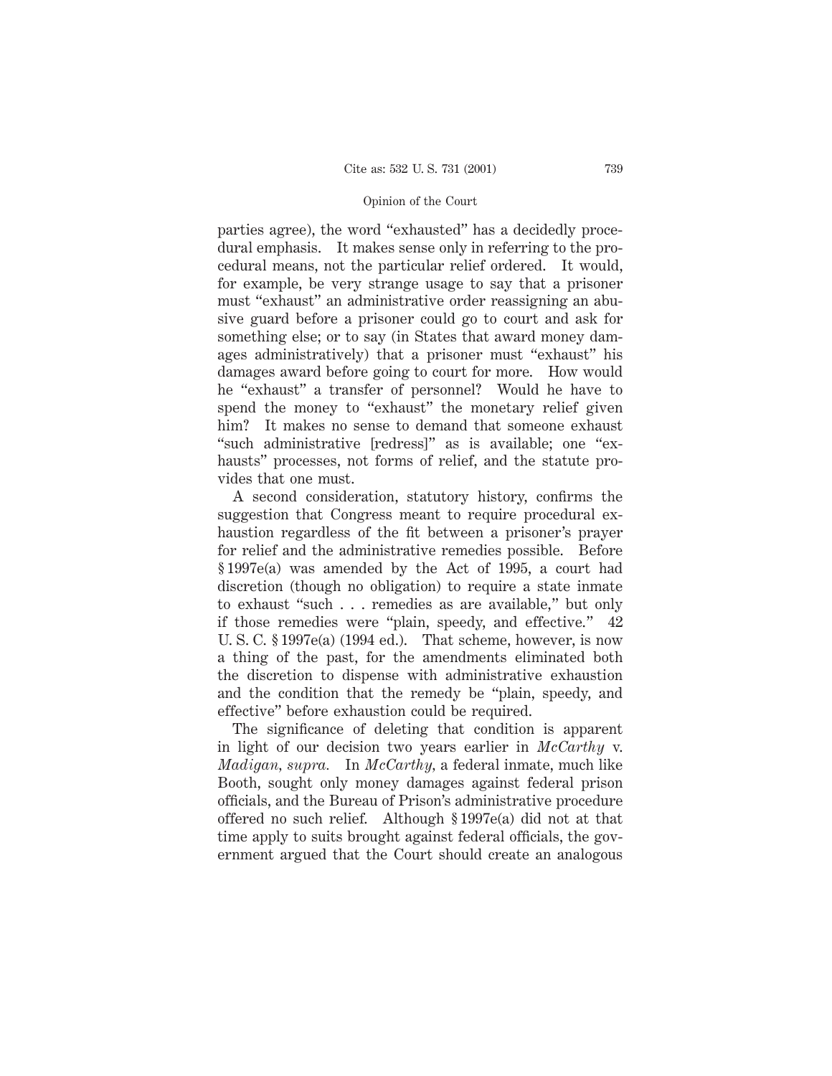parties agree), the word "exhausted" has a decidedly procedural emphasis. It makes sense only in referring to the procedural means, not the particular relief ordered. It would, for example, be very strange usage to say that a prisoner must "exhaust" an administrative order reassigning an abusive guard before a prisoner could go to court and ask for something else; or to say (in States that award money damages administratively) that a prisoner must "exhaust" his damages award before going to court for more. How would he "exhaust" a transfer of personnel? Would he have to spend the money to "exhaust" the monetary relief given him? It makes no sense to demand that someone exhaust "such administrative [redress]" as is available; one "exhausts" processes, not forms of relief, and the statute provides that one must.

A second consideration, statutory history, confirms the suggestion that Congress meant to require procedural exhaustion regardless of the fit between a prisoner's prayer for relief and the administrative remedies possible. Before § 1997e(a) was amended by the Act of 1995, a court had discretion (though no obligation) to require a state inmate to exhaust "such . . . remedies as are available," but only if those remedies were "plain, speedy, and effective." 42 U. S. C. § 1997e(a) (1994 ed.). That scheme, however, is now a thing of the past, for the amendments eliminated both the discretion to dispense with administrative exhaustion and the condition that the remedy be "plain, speedy, and effective" before exhaustion could be required.

The significance of deleting that condition is apparent in light of our decision two years earlier in *McCarthy* v. *Madigan, supra.* In *McCarthy,* a federal inmate, much like Booth, sought only money damages against federal prison officials, and the Bureau of Prison's administrative procedure offered no such relief. Although § 1997e(a) did not at that time apply to suits brought against federal officials, the government argued that the Court should create an analogous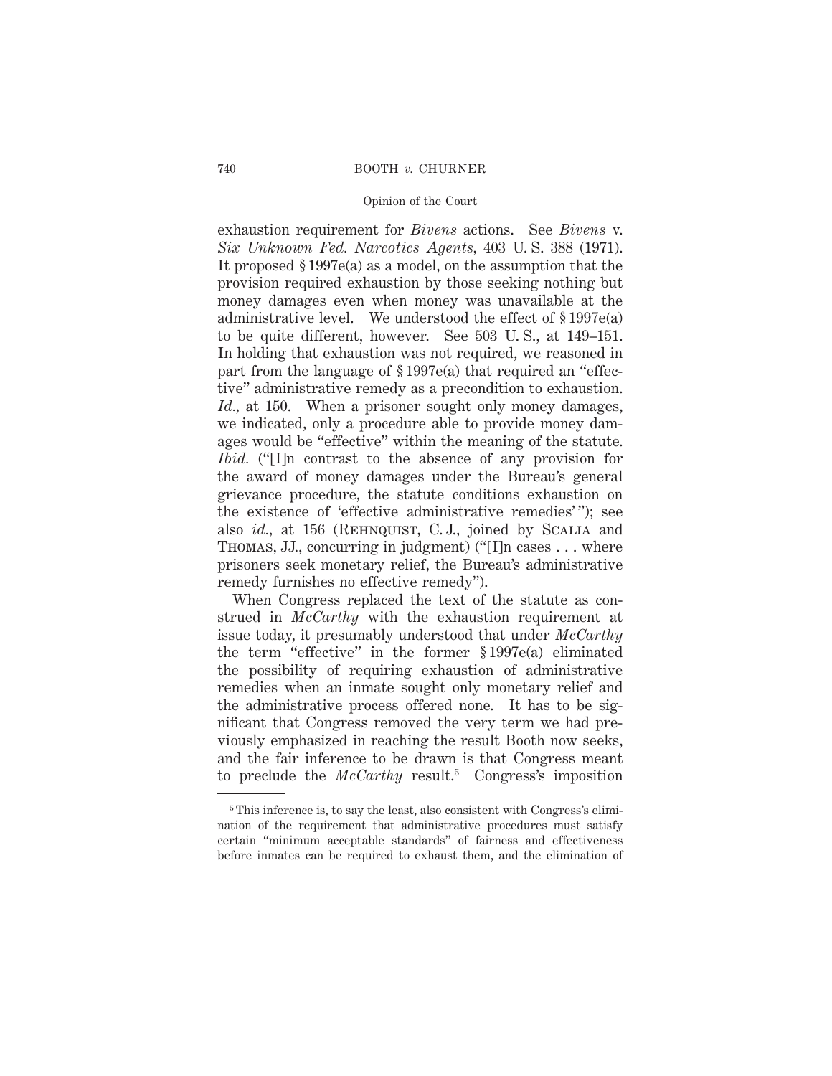exhaustion requirement for *Bivens* actions. See *Bivens* v. *Six Unknown Fed. Narcotics Agents,* 403 U. S. 388 (1971). It proposed § 1997e(a) as a model, on the assumption that the provision required exhaustion by those seeking nothing but money damages even when money was unavailable at the administrative level. We understood the effect of § 1997e(a) to be quite different, however. See 503 U. S., at 149–151. In holding that exhaustion was not required, we reasoned in part from the language of § 1997e(a) that required an "effective" administrative remedy as a precondition to exhaustion. *Id.,* at 150. When a prisoner sought only money damages, we indicated, only a procedure able to provide money damages would be "effective" within the meaning of the statute. *Ibid.* ("[I]n contrast to the absence of any provision for the award of money damages under the Bureau's general grievance procedure, the statute conditions exhaustion on the existence of 'effective administrative remedies' "); see also *id.*, at 156 (REHNQUIST, C.J., joined by SCALIA and Thomas, JJ., concurring in judgment) ("[I]n cases . . . where prisoners seek monetary relief, the Bureau's administrative remedy furnishes no effective remedy").

When Congress replaced the text of the statute as construed in *McCarthy* with the exhaustion requirement at issue today, it presumably understood that under *McCarthy* the term "effective" in the former § 1997e(a) eliminated the possibility of requiring exhaustion of administrative remedies when an inmate sought only monetary relief and the administrative process offered none. It has to be significant that Congress removed the very term we had previously emphasized in reaching the result Booth now seeks, and the fair inference to be drawn is that Congress meant to preclude the *McCarthy* result.<sup>5</sup> Congress's imposition

<sup>&</sup>lt;sup>5</sup> This inference is, to say the least, also consistent with Congress's elimination of the requirement that administrative procedures must satisfy certain "minimum acceptable standards" of fairness and effectiveness before inmates can be required to exhaust them, and the elimination of